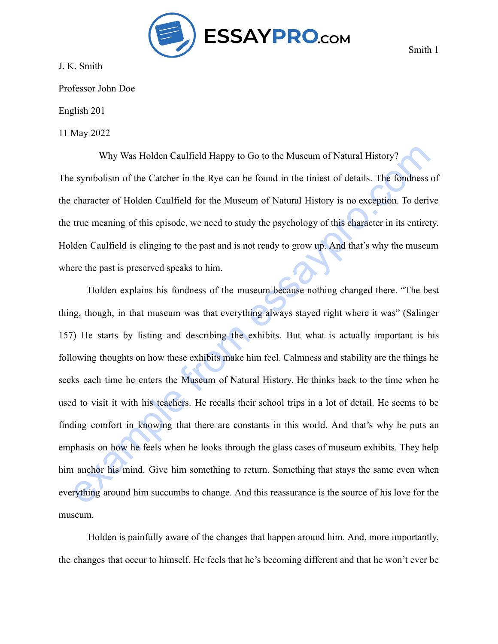

J. K. Smith

Professor John Doe

English 201

11 May 2022

Why Was Holden Caulfield Happy to Go to the Museum of Natural History? The symbolism of the Catcher in the Rye can be found in the tiniest of details. The fondness of the character of Holden Caulfield for the Museum of Natural History is no exception. To derive the true meaning of this episode, we need to study the psychology of this character in its entirety. Holden Caulfield is clinging to the past and is not ready to grow up. And that's why the museum where the past is preserved speaks to him.

Why Was Holden Caulfield Happy to Go to the Museum of Natural History?<br>
symbolism of the Catcher in the Rye can be found in the timiest of details. The fondness of<br>
character of Holden Caulfield for the Museum of Natural H Holden explains his fondness of the museum because nothing changed there. "The best thing, though, in that museum was that everything always stayed right where it was" (Salinger 157) He starts by listing and describing the exhibits. But what is actually important is his following thoughts on how these exhibits make him feel. Calmness and stability are the things he seeks each time he enters the Museum of Natural History. He thinks back to the time when he used to visit it with his teachers. He recalls their school trips in a lot of detail. He seems to be finding comfort in knowing that there are constants in this world. And that's why he puts an emphasis on how he feels when he looks through the glass cases of museum exhibits. They help him anchor his mind. Give him something to return. Something that stays the same even when everything around him succumbs to change. And this reassurance is the source of his love for the museum.

Holden is painfully aware of the changes that happen around him. And, more importantly, the changes that occur to himself. He feels that he's becoming different and that he won't ever be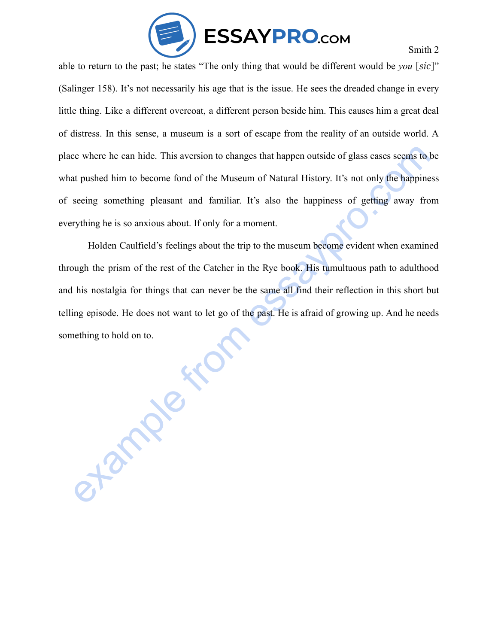

Smith 2

able to return to the past; he states "The only thing that would be different would be *you* [*sic*]" (Salinger 158). It's not necessarily his age that is the issue. He sees the dreaded change in every little thing. Like a different overcoat, a different person beside him. This causes him a great deal of distress. In this sense, a museum is a sort of escape from the reality of an outside world. A place where he can hide. This aversion to changes that happen outside of glass cases seems to be what pushed him to become fond of the Museum of Natural History. It's not only the happiness of seeing something pleasant and familiar. It's also the happiness of getting away from everything he is so anxious about. If only for a moment.

example from the case of the Museum of Natural History. It's not only the happiness<br>at pushed him to become fond of the Museum of Natural History. It's not only the happiness<br>seeing something pleasant and familiar. It's al Holden Caulfield's feelings about the trip to the museum become evident when examined through the prism of the rest of the Catcher in the Rye book. His tumultuous path to adulthood and his nostalgia for things that can never be the same all find their reflection in this short but telling episode. He does not want to let go of the past. He is afraid of growing up. And he needs something to hold on to.